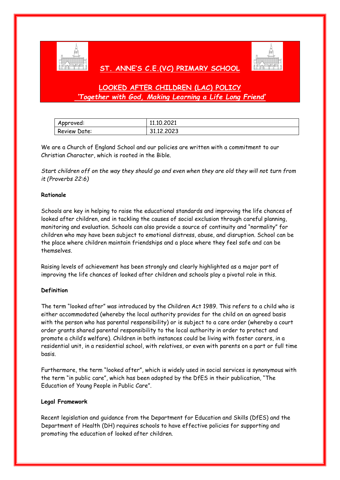

## **ST. ANNE'S C.E.(VC) PRIMARY SCHOOL**



# **LOOKED AFTER CHILDREN (LAC) POLICY** *'Together with God, Making Learning a Life Long Friend'*

| Approved:    | 11.10.2021 |
|--------------|------------|
| Review Date: | 31.12.2023 |

We are a Church of England School and our policies are written with a commitment to our Christian Character, which is rooted in the Bible.

*Start children off on the way they should go and even when they are old they will not turn from it (Proverbs 22:6)*

#### **Rationale**

Schools are key in helping to raise the educational standards and improving the life chances of looked after children, and in tackling the causes of social exclusion through careful planning, monitoring and evaluation. Schools can also provide a source of continuity and "normality" for children who may have been subject to emotional distress, abuse, and disruption. School can be the place where children maintain friendships and a place where they feel safe and can be themselves.

Raising levels of achievement has been strongly and clearly highlighted as a major part of improving the life chances of looked after children and schools play a pivotal role in this.

#### **Definition**

The term "looked after" was introduced by the Children Act 1989. This refers to a child who is either accommodated (whereby the local authority provides for the child on an agreed basis with the person who has parental responsibility) or is subject to a care order (whereby a court order grants shared parental responsibility to the local authority in order to protect and promote a child's welfare). Children in both instances could be living with foster carers, in a residential unit, in a residential school, with relatives, or even with parents on a part or full time basis.

Furthermore, the term "looked after", which is widely used in social services is synonymous with the term "in public care", which has been adopted by the DfES in their publication, "The Education of Young People in Public Care".

#### **Legal Framework**

Recent legislation and guidance from the Department for Education and Skills (DfES) and the Department of Health (DH) requires schools to have effective policies for supporting and promoting the education of looked after children.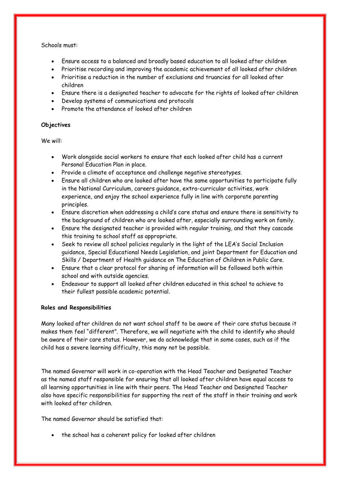Schools must:

- Ensure access to a balanced and broadly based education to all looked after children
- Prioritise recording and improving the academic achievement of all looked after children
- Prioritise a reduction in the number of exclusions and truancies for all looked after children
- Ensure there is a designated teacher to advocate for the rights of looked after children
- Develop systems of communications and protocols
- Promote the attendance of looked after children

### **Objectives**

We will:

- Work alongside social workers to ensure that each looked after child has a current Personal Education Plan in place.
- Provide a climate of acceptance and challenge negative stereotypes.
- Ensure all children who are looked after have the same opportunities to participate fully in the National Curriculum, careers guidance, extra-curricular activities, work experience, and enjoy the school experience fully in line with corporate parenting principles.
- Ensure discretion when addressing a child's care status and ensure there is sensitivity to the background of children who are looked after, especially surrounding work on family.
- Ensure the designated teacher is provided with regular training, and that they cascade this training to school staff as appropriate.
- Seek to review all school policies regularly in the light of the LEA's Social Inclusion guidance, Special Educational Needs Legislation, and joint Department for Education and Skills / Department of Health guidance on The Education of Children in Public Care.
- Ensure that a clear protocol for sharing of information will be followed both within school and with outside agencies.
- Endeavour to support all looked after children educated in this school to achieve to their fullest possible academic potential.

#### **Roles and Responsibilities**

Many looked after children do not want school staff to be aware of their care status because it makes them feel "different". Therefore, we will negotiate with the child to identify who should be aware of their care status. However, we do acknowledge that in some cases, such as if the child has a severe learning difficulty, this many not be possible.

The named Governor will work in co-operation with the Head Teacher and Designated Teacher as the named staff responsible for ensuring that all looked after children have equal access to all learning opportunities in line with their peers. The Head Teacher and Designated Teacher also have specific responsibilities for supporting the rest of the staff in their training and work with looked after children.

The named Governor should be satisfied that:

• the school has a coherent policy for looked after children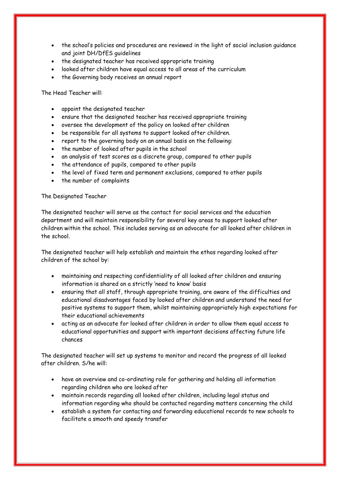- the school's policies and procedures are reviewed in the light of social inclusion guidance and joint DH/DfES guidelines
- the designated teacher has received appropriate training
- looked after children have equal access to all areas of the curriculum
- the Governing body receives an annual report

The Head Teacher will:

- appoint the designated teacher
- ensure that the designated teacher has received appropriate training
- oversee the development of the policy on looked after children
- be responsible for all systems to support looked after children.
- report to the governing body on an annual basis on the following:
- the number of looked after pupils in the school
- an analysis of test scores as a discrete group, compared to other pupils
- the attendance of pupils, compared to other pupils
- the level of fixed term and permanent exclusions, compared to other pupils
- the number of complaints

#### The Designated Teacher

The designated teacher will serve as the contact for social services and the education department and will maintain responsibility for several key areas to support looked after children within the school. This includes serving as an advocate for all looked after children in the school.

The designated teacher will help establish and maintain the ethos regarding looked after children of the school by:

- maintaining and respecting confidentiality of all looked after children and ensuring information is shared on a strictly 'need to know' basis
- ensuring that all staff, through appropriate training, are aware of the difficulties and educational disadvantages faced by looked after children and understand the need for positive systems to support them, whilst maintaining appropriately high expectations for their educational achievements
- acting as an advocate for looked after children in order to allow them equal access to educational opportunities and support with important decisions affecting future life chances

The designated teacher will set up systems to monitor and record the progress of all looked after children. S/he will:

- have an overview and co-ordinating role for gathering and holding all information regarding children who are looked after
- maintain records regarding all looked after children, including legal status and information regarding who should be contacted regarding matters concerning the child
- establish a system for contacting and forwarding educational records to new schools to facilitate a smooth and speedy transfer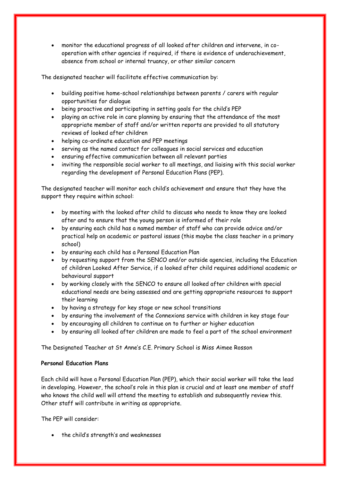monitor the educational progress of all looked after children and intervene, in cooperation with other agencies if required, if there is evidence of underachievement, absence from school or internal truancy, or other similar concern

The designated teacher will facilitate effective communication by:

- building positive home-school relationships between parents / carers with regular opportunities for dialogue
- being proactive and participating in setting goals for the child's PEP
- playing an active role in care planning by ensuring that the attendance of the most appropriate member of staff and/or written reports are provided to all statutory reviews of looked after children
- helping co-ordinate education and PEP meetings
- serving as the named contact for colleagues in social services and education
- ensuring effective communication between all relevant parties
- inviting the responsible social worker to all meetings, and liaising with this social worker regarding the development of Personal Education Plans (PEP).

The designated teacher will monitor each child's achievement and ensure that they have the support they require within school:

- by meeting with the looked after child to discuss who needs to know they are looked after and to ensure that the young person is informed of their role
- by ensuring each child has a named member of staff who can provide advice and/or practical help on academic or pastoral issues (this maybe the class teacher in a primary school)
- by ensuring each child has a Personal Education Plan
- by requesting support from the SENCO and/or outside agencies, including the Education of children Looked After Service, if a looked after child requires additional academic or behavioural support
- by working closely with the SENCO to ensure all looked after children with special educational needs are being assessed and are getting appropriate resources to support their learning
- by having a strategy for key stage or new school transitions
- by ensuring the involvement of the Connexions service with children in key stage four
- by encouraging all children to continue on to further or higher education
- by ensuring all looked after children are made to feel a part of the school environment

The Designated Teacher at St Anne's C.E. Primary School is Miss Aimee Rosson

#### **Personal Education Plans**

Each child will have a Personal Education Plan (PEP), which their social worker will take the lead in developing. However, the school's role in this plan is crucial and at least one member of staff who knows the child well will attend the meeting to establish and subsequently review this. Other staff will contribute in writing as appropriate.

The PEP will consider:

the child's strength's and weaknesses